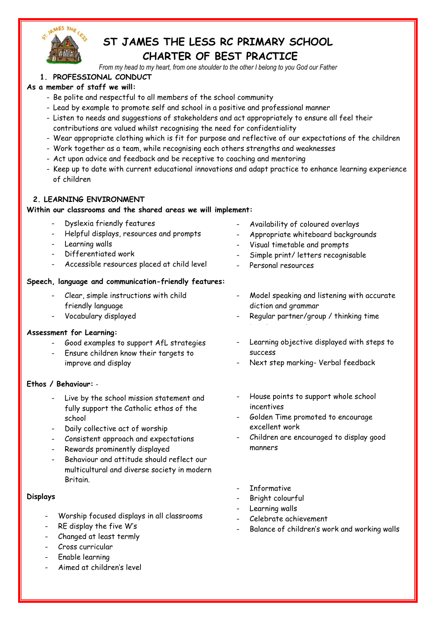

# **ST JAMES THE LESS RC PRIMARY SCHOOL CHARTER OF BEST PRACTICE**

*From my head to my heart, from one shoulder to the other I belong to you God our Father*

# **1. PROFESSIONAL CONDUCT**

## **As a member of staff we will:**

- Be polite and respectful to all members of the school community
- Lead by example to promote self and school in a positive and professional manner
- Listen to needs and suggestions of stakeholders and act appropriately to ensure all feel their contributions are valued whilst recognising the need for confidentiality
- Wear appropriate clothing which is fit for purpose and reflective of our expectations of the children
- Work together as a team, while recognising each others strengths and weaknesses
- Act upon advice and feedback and be receptive to coaching and mentoring
- Keep up to date with current educational innovations and adapt practice to enhance learning experience of children

## **2. LEARNING ENVIRONMENT**

#### **Within our classrooms and the shared areas we will implement:**

- Dyslexia friendly features
- Helpful displays, resources and prompts
- Learning walls
- Differentiated work
- Accessible resources placed at child level

## **Speech, language and communication-friendly features:**

- Clear, simple instructions with child friendly language
- Vocabulary displayed

## **Assessment for Learning:**

- Good examples to support AfL strategies
- Ensure children know their targets to improve and display

## **Ethos / Behaviour:** -

- Live by the school mission statement and fully support the Catholic ethos of the school
- Daily collective act of worship
- Consistent approach and expectations
- Rewards prominently displayed
- Behaviour and attitude should reflect our multicultural and diverse society in modern **Britain**

## **Displays**

- Worship focused displays in all classrooms
- RE display the five W's
- Changed at least termly
- Cross curricular
- Enable learning
- Aimed at children's level
- Availability of coloured overlays
- Appropriate whiteboard backgrounds
- Visual timetable and prompts
- Simple print/ letters recognisable
- Personal resources
- Model speaking and listening with accurate diction and grammar
- Regular partner/group / thinking time - Regular partner/group interaction time
- Learning objective displayed with steps to success
- Next step marking- Verbal feedback
- House points to support whole school incentives
- Golden Time promoted to encourage excellent work
- Children are encouraged to display good manners
- **Informative**
- Bright colourful
- Learning walls
- Celebrate achievement
- Balance of children's work and working walls